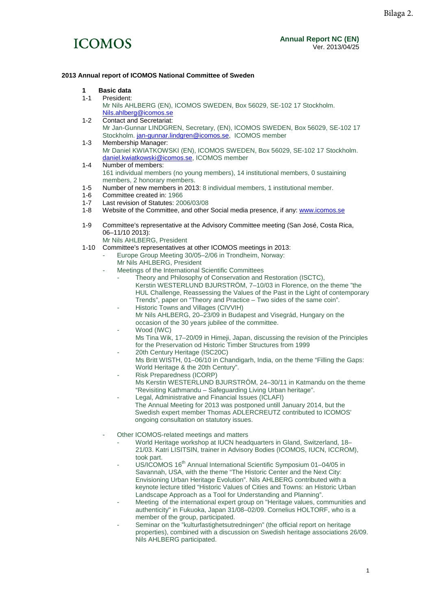

### **2013 Annual report of ICOMOS National Committee of Sweden**

- **1** Basic data<br>**1-1** President:
- President:
- Mr Nils AHLBERG (EN), ICOMOS SWEDEN, Box 56029, SE-102 17 Stockholm. [Nils.ahlberg@icomos.se](mailto:Nils.ahlberg@icomos.se)
- 1-2 Contact and Secretariat: Mr Jan-Gunnar LINDGREN, Secretary, (EN), ICOMOS SWEDEN, Box 56029, SE-102 17 Stockholm[. jan-gunnar.lindgren@icomos.se,](mailto:jan-gunnar.lindgren@icomos.se) ICOMOS member 1-3 Membership Manager:
	- Mr Daniel KWIATKOWSKI (EN), ICOMOS SWEDEN, Box 56029, SE-102 17 Stockholm. [daniel.kwiatkowski@icomos.se,](mailto:daniel.kwiatkowski@icomos.se) ICOMOS member
- 1-4 Number of members: 161 individual members (no young members), 14 institutional members, 0 sustaining members, 2 honorary members.
- 1-5 Number of new members in 2013: 8 individual members, 1 institutional member.
- 1-6 Committee created in: 1966<br>1-7 Last revision of Statutes: 20
- 1-7 Last revision of Statutes: 2006/03/08<br>1-8 Website of the Committee, and other
- Website of the Committee, and other Social media presence, if any: [www.icomos.se](http://www.icomos.se/)
- 1-9 Committee's representative at the Advisory Committee meeting (San José, Costa Rica, 06–11/10 2013):
- Mr Nils AHLBERG, President
- 1-10 Committee's representatives at other ICOMOS meetings in 2013:
	- Europe Group Meeting 30/05–2/06 in Trondheim, Norway:
	- Mr Nils AHLBERG, President
	- Meetings of the International Scientific Committees
		- Theory and Philosophy of Conservation and Restoration (ISCTC), Kerstin WESTERLUND BJURSTRÖM, 7–10/03 in Florence, on the theme "the HUL Challenge, Reassessing the Values of the Past in the Light of contemporary Trends", paper on "Theory and Practice – Two sides of the same coin".
		- Historic Towns and Villages (CIVVIH) Mr Nils AHLBERG, 20–23/09 in Budapest and Visegrád, Hungary on the occasion of the 30 years jubilee of the committee.
		- Wood (IWC)
		- Ms Tina Wik, 17–20/09 in Himeji, Japan, discussing the revision of the Principles for the Preservation od Historic Timber Structures from 1999
		- 20th Century Heritage (ISC20C) Ms Britt WISTH, 01–06/10 in Chandigarh, India, on the theme "Filling the Gaps: World Heritage & the 20th Century".
		- Risk Preparedness (ICORP) Ms Kerstin WESTERLUND BJURSTRÖM, 24–30/11 in Katmandu on the theme "Revisiting Kathmandu – Safeguarding Living Urban heritage".
		- Legal, Administrative and Financial Issues (ICLAFI) The Annual Meeting for 2013 was postponed untill January 2014, but the Swedish expert member Thomas ADLERCREUTZ contributed to ICOMOS' ongoing consultation on statutory issues.
	- Other ICOMOS-related meetings and matters
		- World Heritage workshop at IUCN headquarters in Gland, Switzerland, 18– 21/03. Katri LISITSIN, trainer in Advisory Bodies (ICOMOS, IUCN, ICCROM), took part.
		- US/ICOMOS 16<sup>th</sup> Annual International Scientific Symposium 01–04/05 in Savannah, USA, with the theme "The Historic Center and the Next City: Envisioning Urban Heritage Evolution". Nils AHLBERG contributed with a keynote lecture titled "Historic Values of Cities and Towns: an Historic Urban Landscape Approach as a Tool for Understanding and Planning".
		- Meeting of the international expert group on "Heritage values, communities and authenticity" in Fukuoka, Japan 31/08–02/09. Cornelius HOLTORF, who is a member of the group, participated.
		- Seminar on the "kulturfastighetsutredningen" (the official report on heritage properties), combined with a discussion on Swedish heritage associations 26/09. Nils AHLBERG participated.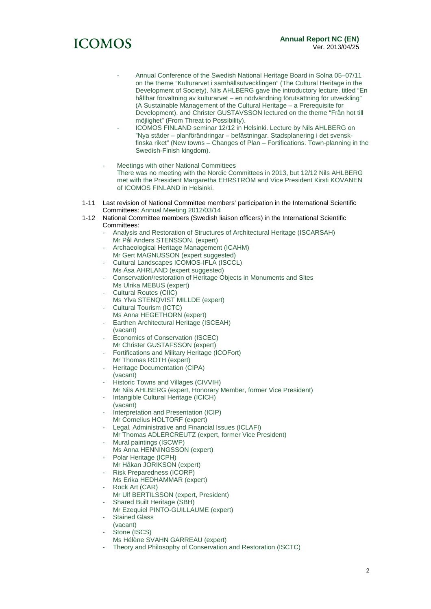

- Annual Conference of the Swedish National Heritage Board in Solna 05–07/11 on the theme "Kulturarvet i samhällsutvecklingen" (The Cultural Heritage in the Development of Society). Nils AHLBERG gave the introductory lecture, titled "En hållbar förvaltning av kulturarvet – en nödvändning förutsättning för utveckling" (A Sustainable Management of the Cultural Heritage – a Prerequisite for Development), and Christer GUSTAVSSON lectured on the theme "Från hot till möjlighet" (From Threat to Possibility).
- ICOMOS FINLAND seminar 12/12 in Helsinki. Lecture by Nils AHLBERG on "Nya städer – planförändringar – befästningar. Stadsplanering i det svenskfinska riket" (New towns – Changes of Plan – Fortifications. Town-planning in the Swedish-Finish kingdom).
- Meetings with other National Committees There was no meeting with the Nordic Committees in 2013, but 12/12 Nils AHLBERG met with the President Margaretha EHRSTRÖM and Vice President Kirsti KOVANEN of ICOMOS FINLAND in Helsinki.
- 1-11 Last revision of National Committee members' participation in the International Scientific Committees: Annual Meeting 2012/03/14
- 1-12 National Committee members (Swedish liaison officers) in the International Scientific Committees:
	- Analysis and Restoration of Structures of Architectural Heritage (ISCARSAH) Mr Pål Anders STENSSON, (expert)
	- Archaeological Heritage Management (ICAHM)
	- Mr Gert MAGNUSSON (expert suggested)
	- Cultural Landscapes ICOMOS-IFLA (ISCCL) Ms Åsa AHRLAND (expert suggested)
	- Conservation/restoration of Heritage Objects in Monuments and Sites Ms Ulrika MEBUS (expert)
	- Cultural Routes (CIIC) Ms Ylva STENQVIST MILLDE (expert)
	- Cultural Tourism (ICTC)
	- Ms Anna HEGETHORN (expert) Earthen Architectural Heritage (ISCEAH) (vacant)
	- Economics of Conservation (ISCEC) Mr Christer GUSTAFSSON (expert)
	- Fortifications and Military Heritage (ICOFort) Mr Thomas ROTH (expert)
	- Heritage Documentation (CIPA) (vacant)
	- Historic Towns and Villages (CIVVIH)
	- Mr Nils AHLBERG (expert, Honorary Member, former Vice President)
	- Intangible Cultural Heritage (ICICH) (vacant)
	- Interpretation and Presentation (ICIP)
	- Mr Cornelius HOLTORF (expert)
	- Legal, Administrative and Financial Issues (ICLAFI)
	- Mr Thomas ADLERCREUTZ (expert, former Vice President) Mural paintings (ISCWP)
	- Ms Anna HENNINGSSON (expert)
	- Polar Heritage (ICPH) Mr Håkan JORIKSON (expert)
	- Risk Preparedness (ICORP)
	- Ms Erika HEDHAMMAR (expert)
	- Rock Art (CAR)
	- Mr Ulf BERTILSSON (expert, President)
	- Shared Built Heritage (SBH)
	- Mr Ezequiel PINTO-GUILLAUME (expert)
	- Stained Glass
	- (vacant) Stone (ISCS)
	- Ms Hélène SVAHN GARREAU (expert)
	- Theory and Philosophy of Conservation and Restoration (ISCTC)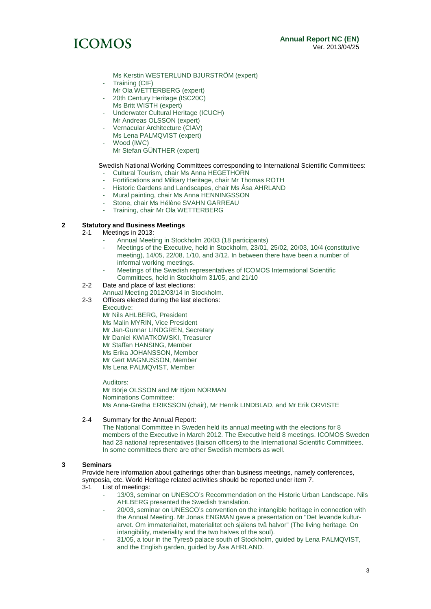# **ICOMOS**

- Ms Kerstin WESTERLUND BJURSTRÖM (expert)
- Training (CIF)
- Mr Ola WETTERBERG (expert)
- 20th Century Heritage (ISC20C)
- Ms Britt WISTH (expert)
- Underwater Cultural Heritage (ICUCH) Mr Andreas OLSSON (expert)
- Vernacular Architecture (CIAV) Ms Lena PALMQVIST (expert)
- Wood (IWC)
	- Mr Stefan GÜNTHER (expert)

### Swedish National Working Committees corresponding to International Scientific Committees:

- Cultural Tourism, chair Ms Anna HEGETHORN
- Fortifications and Military Heritage, chair Mr Thomas ROTH
- Historic Gardens and Landscapes, chair Ms Åsa AHRLAND
- Mural painting, chair Ms Anna HENNINGSSON
- Stone, chair Ms Hélène SVAHN GARREAU
- Training, chair Mr Ola WETTERBERG

### **2 Statutory and Business Meetings**

- Meetings in 2013:
	- Annual Meeting in Stockholm 20/03 (18 participants)
	- Meetings of the Executive, held in Stockholm, 23/01, 25/02, 20/03, 10/4 (constitutive meeting), 14/05, 22/08, 1/10, and 3/12. In between there have been a number of informal working meetings.
	- Meetings of the Swedish representatives of ICOMOS International Scientific Committees, held in Stockholm 31/05, and 21/10
- 2-2 Date and place of last elections:
- Annual Meeting 2012/03/14 in Stockholm.
- 2-3 Officers elected during the last elections:

Executive:

Mr Nils AHLBERG, President Ms Malin MYRIN, Vice President Mr Jan-Gunnar LINDGREN, Secretary Mr Daniel KWIATKOWSKI, Treasurer Mr Staffan HANSING, Member Ms Erika JOHANSSON, Member Mr Gert MAGNUSSON, Member Ms Lena PALMQVIST, Member

Auditors: Mr Börje OLSSON and Mr Björn NORMAN Nominations Committee: Ms Anna-Gretha ERIKSSON (chair), Mr Henrik LINDBLAD, and Mr Erik ORVISTE

### 2-4 Summary for the Annual Report:

The National Committee in Sweden held its annual meeting with the elections for 8 members of the Executive in March 2012. The Executive held 8 meetings. ICOMOS Sweden had 23 national representatives (liaison officers) to the International Scientific Committees. In some committees there are other Swedish members as well.

### **3 Seminars**

Provide here information about gatherings other than business meetings, namely conferences, symposia, etc. World Heritage related activities should be reported under item 7.<br>3-1 list of meetings:

- List of meetings:
	- 13/03, seminar on UNESCO's Recommendation on the Historic Urban Landscape. Nils AHLBERG presented the Swedish translation.
	- 20/03, seminar on UNESCO's convention on the intangible heritage in connection with the Annual Meeting. Mr Jonas ENGMAN gave a presentation on "Det levande kulturarvet. Om immaterialitet, materialitet och själens två halvor" (The living heritage. On intangibility, materiality and the two halves of the soul).
	- 31/05, a tour in the Tyresö palace south of Stockholm, guided by Lena PALMQVIST, and the English garden, guided by Åsa AHRLAND.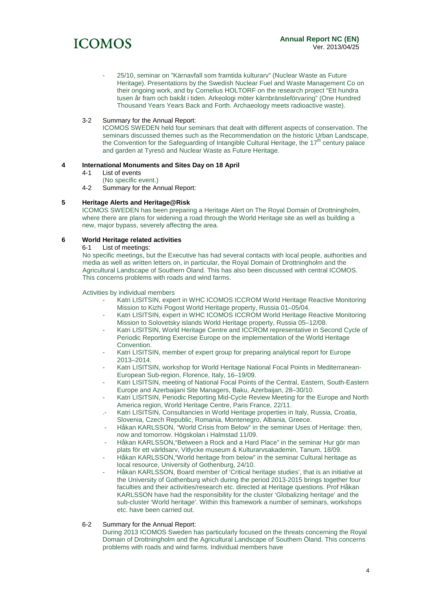

25/10, seminar on "Kärnavfall som framtida kulturarv" (Nuclear Waste as Future Heritage). Presentations by the Swedish Nuclear Fuel and Waste Management Co on their ongoing work, and by Cornelius HOLTORF on the research project "Ett hundra tusen år fram och bakåt i tiden. Arkeologi möter kärnbränsleförvaring" (One Hundred Thousand Years Years Back and Forth. Archaeology meets radioactive waste).

### 3-2 Summary for the Annual Report:

ICOMOS SWEDEN held four seminars that dealt with different aspects of conservation. The seminars discussed themes such as the Recommendation on the historic Urban Landscape, the Convention for the Safeguarding of Intangible Cultural Heritage, the  $17<sup>th</sup>$  century palace and garden at Tyresö and Nuclear Waste as Future Heritage.

### **4 International Monuments and Sites Day on 18 April**

- List of events
	- (No specific event.)
- 4-2 Summary for the Annual Report:

### **5 Heritage Alerts and Heritage@Risk**

ICOMOS SWEDEN has been preparing a Heritage Alert on The Royal Domain of Drottningholm, where there are plans for widening a road through the World Heritage site as well as building a new, major bypass, severely affecting the area.

### **6 World Heritage related activities**

6-1 List of meetings:

No specific meetings, but the Executive has had several contacts with local people, authorities and media as well as written letters on, in particular, the Royal Domain of Drottningholm and the Agricultural Landscape of Southern Öland. This has also been discussed with central ICOMOS. This concerns problems with roads and wind farms.

Activities by individual members

- Katri LISITSIN, expert in WHC ICOMOS ICCROM World Heritage Reactive Monitoring Mission to Kizhi Pogost World Heritage property, Russia 01–05/04.
- Katri LISITSIN, expert in WHC ICOMOS ICCROM World Heritage Reactive Monitoring Mission to Solovetsky islands World Heritage property, Russia 05–12/08.
- Katri LISITSIN, World Heritage Centre and ICCROM representative in Second Cycle of Periodic Reporting Exercise Europe on the implementation of the World Heritage Convention.
- Katri LISITSIN, member of expert group for preparing analytical report for Europe 2013–2014.
- Katri LISITSIN, workshop for World Heritage National Focal Points in Mediterranean-European Sub-region, Florence, Italy, 16–19/09.
- Katri LISITSIN, meeting of National Focal Points of the Central, Eastern, South-Eastern Europe and Azerbaijani Site Managers, Baku, Azerbaijan, 28–30/10.
- Katri LISITSIN, Periodic Reporting Mid-Cycle Review Meeting for the Europe and North America region, World Heritage Centre, Paris France, 22/11.
- Katri LISITSIN, Consultancies in World Heritage properties in Italy, Russia, Croatia, Slovenia, Czech Republic, Romania, Montenegro, Albania, Greece.
- Håkan KARLSSON, "World Crisis from Below" in the seminar Uses of Heritage: then, now and tomorrow. Högskolan i Halmstad 11/09.
- Håkan KARLSSON,"Between a Rock and a Hard Place" in the seminar Hur gör man plats för ett världsarv, Vitlycke museum & Kulturarvsakademin, Tanum, 18/09.
- Håkan KARLSSON,"World heritage from below" in the seminar Cultural heritage as local resource, University of Gothenburg, 24/10.
- Håkan KARLSSON, Board member of 'Critical heritage studies', that is an initiative at the University of Gothenburg which during the period 2013-2015 brings together four faculties and their activities/research etc. directed at Heritage questions. Prof Håkan KARLSSON have had the responsibility for the cluster 'Globalizing heritage' and the sub-cluster 'World heritage'. Within this framework a number of seminars, workshops etc. have been carried out.
- 6-2 Summary for the Annual Report:

During 2013 ICOMOS Sweden has particularly focused on the threats concerning the Royal Domain of Drottningholm and the Agricultural Landscape of Southern Öland. This concerns problems with roads and wind farms. Individual members have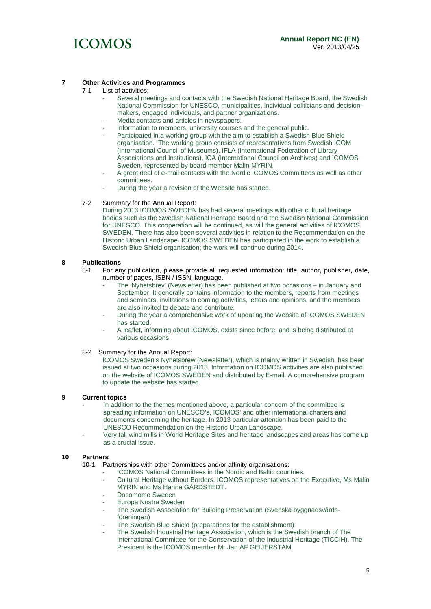

### **7 Other Activities and Programmes**

### List of activities:

- Several meetings and contacts with the Swedish National Heritage Board, the Swedish National Commission for UNESCO, municipalities, individual politicians and decisionmakers, engaged individuals, and partner organizations.
- Media contacts and articles in newspapers.
- Information to members, university courses and the general public.
- Participated in a working group with the aim to establish a Swedish Blue Shield organisation. The working group consists of representatives from Swedish ICOM (International Council of Museums), IFLA (International Federation of Library Associations and Institutions), ICA (International Council on Archives) and ICOMOS Sweden, represented by board member Malin MYRIN.
- A great deal of e-mail contacts with the Nordic ICOMOS Committees as well as other committees.
- During the year a revision of the Website has started.

### 7-2 Summary for the Annual Report:

During 2013 ICOMOS SWEDEN has had several meetings with other cultural heritage bodies such as the Swedish National Heritage Board and the Swedish National Commission for UNESCO. This cooperation will be continued, as will the general activities of ICOMOS SWEDEN. There has also been several activities in relation to the Recommendation on the Historic Urban Landscape. ICOMOS SWEDEN has participated in the work to establish a Swedish Blue Shield organisation; the work will continue during 2014.

## **8 Publications**

- For any publication, please provide all requested information: title, author, publisher, date, number of pages, ISBN / ISSN, language.
	- The 'Nyhetsbrev' (Newsletter) has been published at two occasions in January and September. It generally contains information to the members, reports from meetings and seminars, invitations to coming activities, letters and opinions, and the members are also invited to debate and contribute.
	- During the year a comprehensive work of updating the Website of ICOMOS SWEDEN has started.
	- A leaflet, informing about ICOMOS, exists since before, and is being distributed at various occasions.

### 8-2 Summary for the Annual Report:

ICOMOS Sweden's Nyhetsbrew (Newsletter), which is mainly written in Swedish, has been issued at two occasions during 2013. Information on ICOMOS activities are also published on the website of ICOMOS SWEDEN and distributed by E-mail. A comprehensive program to update the website has started.

### **9 Current topics**

- In addition to the themes mentioned above, a particular concern of the committee is spreading information on UNESCO's, ICOMOS' and other international charters and documents concerning the heritage. In 2013 particular attention has been paid to the UNESCO Recommendation on the Historic Urban Landscape.
- Very tall wind mills in World Heritage Sites and heritage landscapes and areas has come up as a crucial issue.

# **10 Partners**

- Partnerships with other Committees and/or affinity organisations:
	- ICOMOS National Committees in the Nordic and Baltic countries.
	- Cultural Heritage without Borders. ICOMOS representatives on the Executive, Ms Malin MYRIN and Ms Hanna GÅRDSTEDT.
	- Docomomo Sweden
	- Europa Nostra Sweden
	- The Swedish Association for Building Preservation (Svenska byggnadsvårdsföreningen)
	- The Swedish Blue Shield (preparations for the establishment)
	- The Swedish Industrial Heritage Association, which is the Swedish branch of The International Committee for the Conservation of the Industrial Heritage (TICCIH). The President is the ICOMOS member Mr Jan AF GEIJERSTAM.